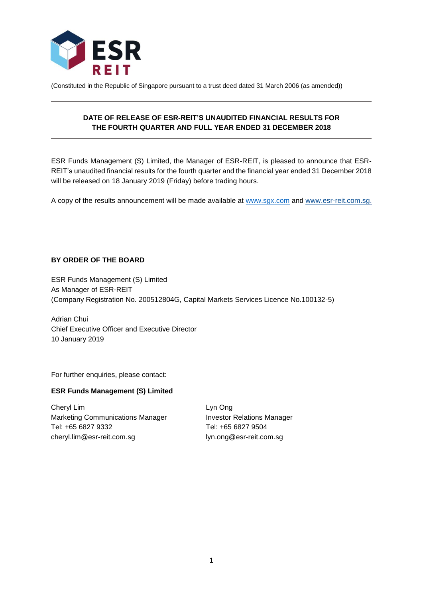

(Constituted in the Republic of Singapore pursuant to a trust deed dated 31 March 2006 (as amended))

# **DATE OF RELEASE OF ESR-REIT'S UNAUDITED FINANCIAL RESULTS FOR THE FOURTH QUARTER AND FULL YEAR ENDED 31 DECEMBER 2018**

ESR Funds Management (S) Limited, the Manager of ESR-REIT, is pleased to announce that ESR-REIT's unaudited financial results for the fourth quarter and the financial year ended 31 December 2018 will be released on 18 January 2019 (Friday) before trading hours.

A copy of the results announcement will be made available at [www.sgx.com](http://www.sgx.com/) and [www.esr-reit.com.sg.](http://www.esr-reit.com.sg/)

# **BY ORDER OF THE BOARD**

ESR Funds Management (S) Limited As Manager of ESR-REIT (Company Registration No. 200512804G, Capital Markets Services Licence No.100132-5)

Adrian Chui Chief Executive Officer and Executive Director 10 January 2019

For further enquiries, please contact:

## **ESR Funds Management (S) Limited**

Cheryl Lim Marketing Communications Manager Tel: +65 6827 9332 cheryl.lim@esr-reit.com.sg

Lyn Ong Investor Relations Manager Tel: +65 6827 9504 lyn.ong@esr-reit.com.sg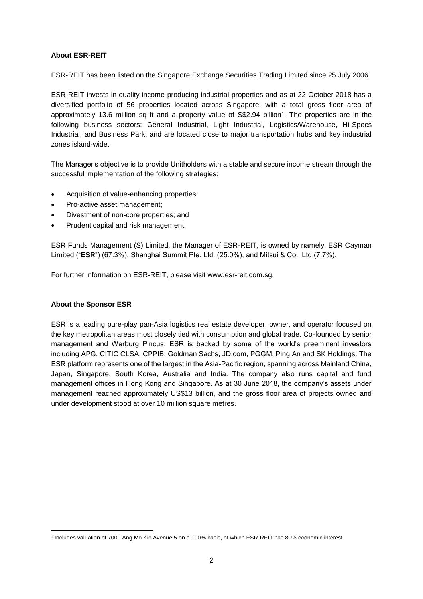## **About ESR-REIT**

ESR-REIT has been listed on the Singapore Exchange Securities Trading Limited since 25 July 2006.

ESR-REIT invests in quality income-producing industrial properties and as at 22 October 2018 has a diversified portfolio of 56 properties located across Singapore, with a total gross floor area of approximately 13.6 million sq ft and a property value of S\$2.94 billion<sup>1</sup>. The properties are in the following business sectors: General Industrial, Light Industrial, Logistics/Warehouse, Hi-Specs Industrial, and Business Park, and are located close to major transportation hubs and key industrial zones island-wide.

The Manager's objective is to provide Unitholders with a stable and secure income stream through the successful implementation of the following strategies:

- Acquisition of value-enhancing properties;
- Pro-active asset management;
- Divestment of non-core properties; and
- Prudent capital and risk management.

ESR Funds Management (S) Limited, the Manager of ESR-REIT, is owned by namely, ESR Cayman Limited ("**ESR**") (67.3%), Shanghai Summit Pte. Ltd. (25.0%), and Mitsui & Co., Ltd (7.7%).

For further information on ESR-REIT, please visit www.esr-reit.com.sg.

## **About the Sponsor ESR**

ESR is a leading pure-play pan-Asia logistics real estate developer, owner, and operator focused on the key metropolitan areas most closely tied with consumption and global trade. Co-founded by senior management and Warburg Pincus, ESR is backed by some of the world's preeminent investors including APG, CITIC CLSA, CPPIB, Goldman Sachs, JD.com, PGGM, Ping An and SK Holdings. The ESR platform represents one of the largest in the Asia-Pacific region, spanning across Mainland China, Japan, Singapore, South Korea, Australia and India. The company also runs capital and fund management offices in Hong Kong and Singapore. As at 30 June 2018, the company's assets under management reached approximately US\$13 billion, and the gross floor area of projects owned and under development stood at over 10 million square metres.

**<sup>.</sup>** 1 Includes valuation of 7000 Ang Mo Kio Avenue 5 on a 100% basis, of which ESR-REIT has 80% economic interest.